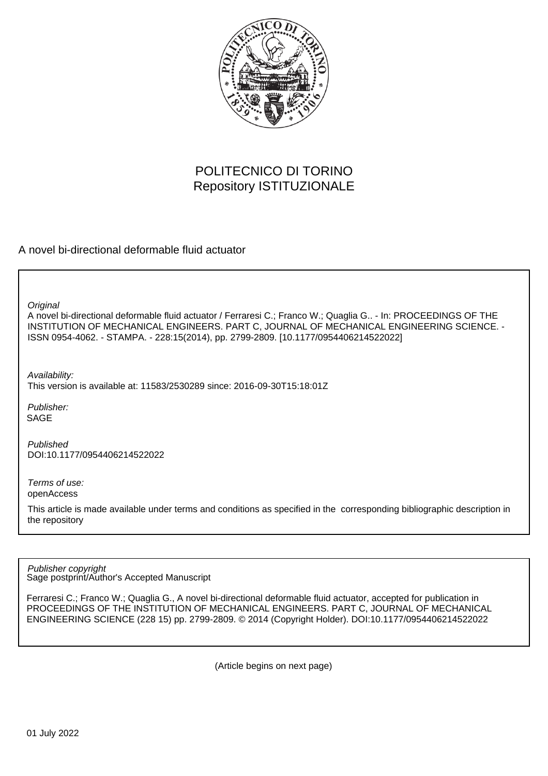

# POLITECNICO DI TORINO Repository ISTITUZIONALE

A novel bi-directional deformable fluid actuator

**Original** 

A novel bi-directional deformable fluid actuator / Ferraresi C.; Franco W.; Quaglia G.. - In: PROCEEDINGS OF THE INSTITUTION OF MECHANICAL ENGINEERS. PART C, JOURNAL OF MECHANICAL ENGINEERING SCIENCE. - ISSN 0954-4062. - STAMPA. - 228:15(2014), pp. 2799-2809. [10.1177/0954406214522022]

Availability: This version is available at: 11583/2530289 since: 2016-09-30T15:18:01Z

Publisher: SAGE

Published DOI:10.1177/0954406214522022

Terms of use: openAccess

This article is made available under terms and conditions as specified in the corresponding bibliographic description in the repository

Sage postprint/Author's Accepted Manuscript Publisher copyright

Ferraresi C.; Franco W.; Quaglia G., A novel bi-directional deformable fluid actuator, accepted for publication in PROCEEDINGS OF THE INSTITUTION OF MECHANICAL ENGINEERS. PART C, JOURNAL OF MECHANICAL ENGINEERING SCIENCE (228 15) pp. 2799-2809. © 2014 (Copyright Holder). DOI:10.1177/0954406214522022

(Article begins on next page)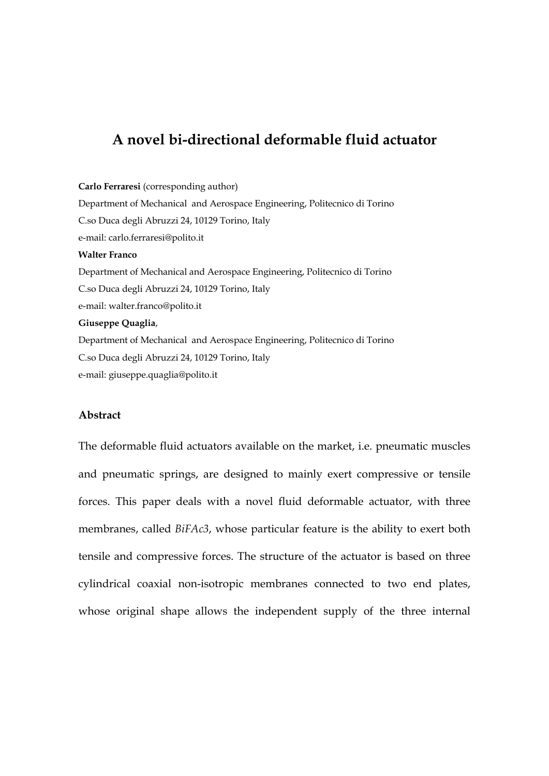# **A novel bi-directional deformable fluid actuator**

#### **Carlo Ferraresi** (corresponding author)

Department of Mechanical and Aerospace Engineering, Politecnico di Torino C.so Duca degli Abruzzi 24, 10129 Torino, Italy e-mail: carlo.ferraresi@polito.it **Walter Franco** Department of Mechanical and Aerospace Engineering, Politecnico di Torino C.so Duca degli Abruzzi 24, 10129 Torino, Italy e-mail: walter.franco@polito.it **Giuseppe Quaglia**, Department of Mechanical and Aerospace Engineering, Politecnico di Torino C.so Duca degli Abruzzi 24, 10129 Torino, Italy

e-mail: giuseppe.quaglia@polito.it

#### **Abstract**

The deformable fluid actuators available on the market, i.e. pneumatic muscles and pneumatic springs, are designed to mainly exert compressive or tensile forces. This paper deals with a novel fluid deformable actuator, with three membranes, called *BiFAc3*, whose particular feature is the ability to exert both tensile and compressive forces. The structure of the actuator is based on three cylindrical coaxial non-isotropic membranes connected to two end plates, whose original shape allows the independent supply of the three internal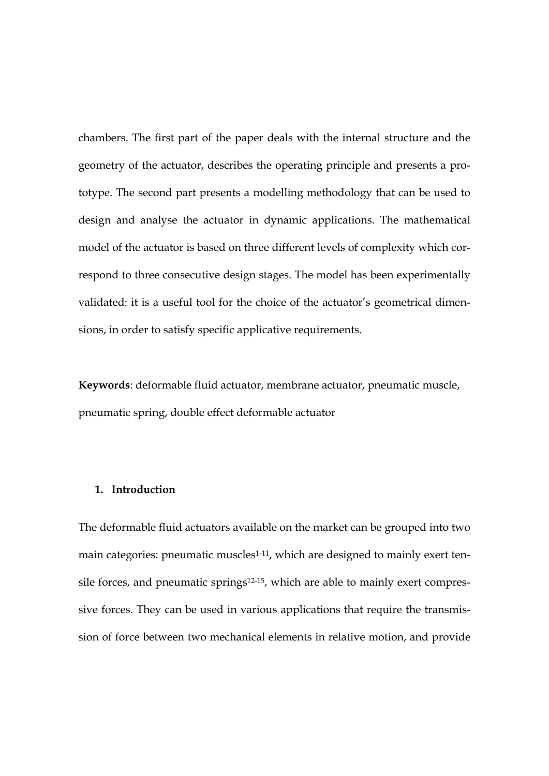chambers. The first part of the paper deals with the internal structure and the geometry of the actuator, describes the operating principle and presents a prototype. The second part presents a modelling methodology that can be used to design and analyse the actuator in dynamic applications. The mathematical model of the actuator is based on three different levels of complexity which correspond to three consecutive design stages. The model has been experimentally validated: it is a useful tool for the choice of the actuator's geometrical dimensions, in order to satisfy specific applicative requirements.

**Keywords**: deformable fluid actuator, membrane actuator, pneumatic muscle, pneumatic spring, double effect deformable actuator

### **1. Introduction**

The deformable fluid actuators available on the market can be grouped into two main categories: pneumatic muscles<sup>1-11</sup>, which are designed to mainly exert tensile forces, and pneumatic springs<sup>12-15</sup>, which are able to mainly exert compressive forces. They can be used in various applications that require the transmission of force between two mechanical elements in relative motion, and provide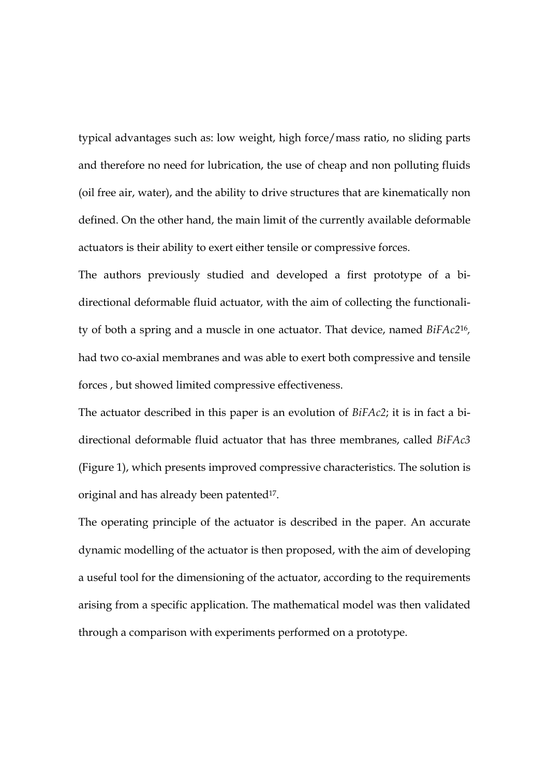typical advantages such as: low weight, high force/mass ratio, no sliding parts and therefore no need for lubrication, the use of cheap and non polluting fluids (oil free air, water), and the ability to drive structures that are kinematically non defined. On the other hand, the main limit of the currently available deformable actuators is their ability to exert either tensile or compressive forces.

The authors previously studied and developed a first prototype of a bidirectional deformable fluid actuator, with the aim of collecting the functionality of both a spring and a muscle in one actuator. That device, named *BiFAc2*16*,*  had two co-axial membranes and was able to exert both compressive and tensile forces , but showed limited compressive effectiveness.

The actuator described in this paper is an evolution of *BiFAc2*; it is in fact a bidirectional deformable fluid actuator that has three membranes, called *BiFAc3* (Figure 1), which presents improved compressive characteristics. The solution is original and has already been patented<sup>17</sup>.

The operating principle of the actuator is described in the paper. An accurate dynamic modelling of the actuator is then proposed, with the aim of developing a useful tool for the dimensioning of the actuator, according to the requirements arising from a specific application. The mathematical model was then validated through a comparison with experiments performed on a prototype.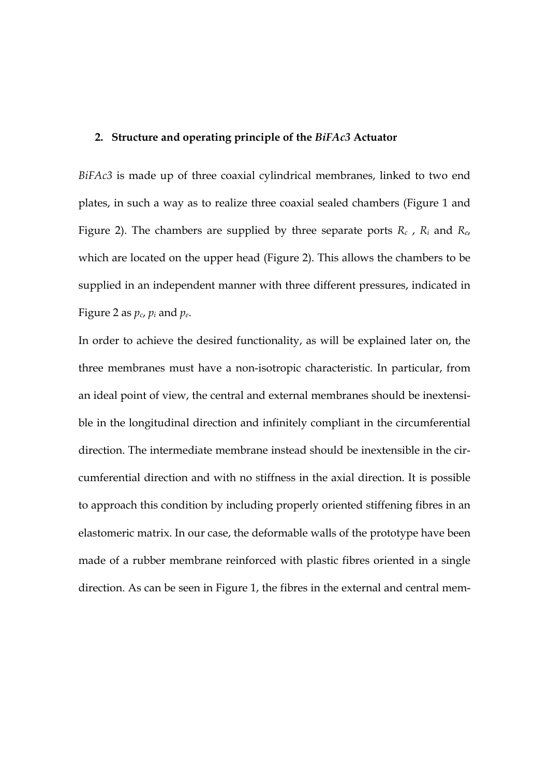### **2. Structure and operating principle of the** *BiFAc3* **Actuator**

*BiFAc3* is made up of three coaxial cylindrical membranes, linked to two end plates, in such a way as to realize three coaxial sealed chambers (Figure 1 and Figure 2). The chambers are supplied by three separate ports *Rc* , *Ri* and *Re*, which are located on the upper head (Figure 2). This allows the chambers to be supplied in an independent manner with three different pressures, indicated in Figure 2 as  $p_c$ ,  $p_i$  and  $p_e$ .

In order to achieve the desired functionality, as will be explained later on, the three membranes must have a non-isotropic characteristic. In particular, from an ideal point of view, the central and external membranes should be inextensible in the longitudinal direction and infinitely compliant in the circumferential direction. The intermediate membrane instead should be inextensible in the circumferential direction and with no stiffness in the axial direction. It is possible to approach this condition by including properly oriented stiffening fibres in an elastomeric matrix. In our case, the deformable walls of the prototype have been made of a rubber membrane reinforced with plastic fibres oriented in a single direction. As can be seen in Figure 1, the fibres in the external and central mem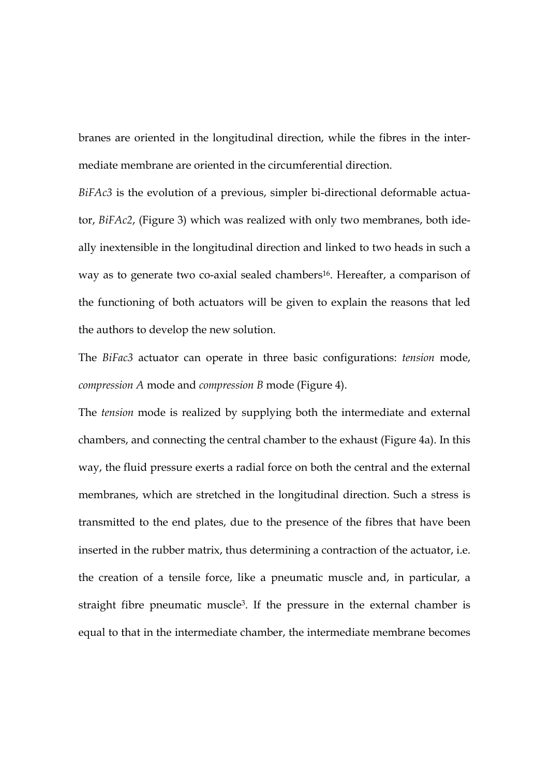branes are oriented in the longitudinal direction, while the fibres in the intermediate membrane are oriented in the circumferential direction.

*BiFAc3* is the evolution of a previous, simpler bi-directional deformable actuator, *BiFAc2*, (Figure 3) which was realized with only two membranes, both ideally inextensible in the longitudinal direction and linked to two heads in such a way as to generate two co-axial sealed chambers<sup>16</sup>. Hereafter, a comparison of the functioning of both actuators will be given to explain the reasons that led the authors to develop the new solution.

The *BiFac3* actuator can operate in three basic configurations: *tension* mode, *compression A* mode and *compression B* mode (Figure 4).

The *tension* mode is realized by supplying both the intermediate and external chambers, and connecting the central chamber to the exhaust (Figure 4a). In this way, the fluid pressure exerts a radial force on both the central and the external membranes, which are stretched in the longitudinal direction. Such a stress is transmitted to the end plates, due to the presence of the fibres that have been inserted in the rubber matrix, thus determining a contraction of the actuator, i.e. the creation of a tensile force, like a pneumatic muscle and, in particular, a straight fibre pneumatic muscle3. If the pressure in the external chamber is equal to that in the intermediate chamber, the intermediate membrane becomes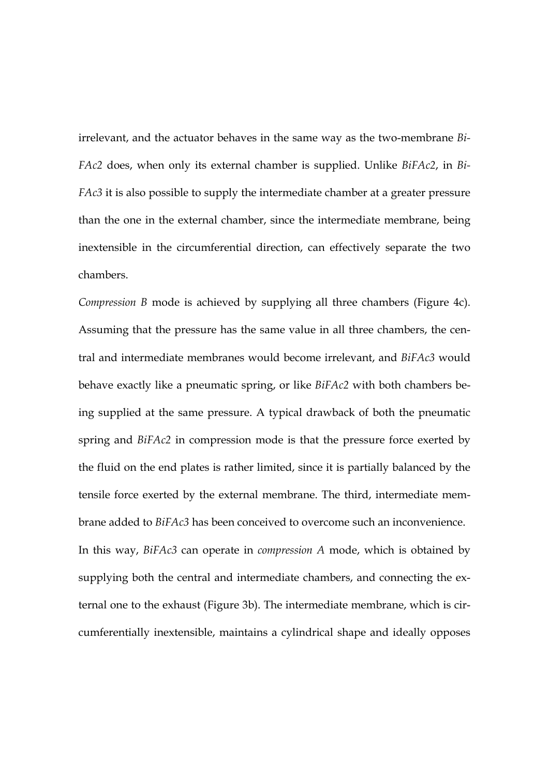irrelevant, and the actuator behaves in the same way as the two-membrane *Bi-FAc2* does, when only its external chamber is supplied. Unlike *BiFAc2*, in *Bi-FAc3* it is also possible to supply the intermediate chamber at a greater pressure than the one in the external chamber, since the intermediate membrane, being inextensible in the circumferential direction, can effectively separate the two chambers.

*Compression B* mode is achieved by supplying all three chambers (Figure 4c). Assuming that the pressure has the same value in all three chambers, the central and intermediate membranes would become irrelevant, and *BiFAc3* would behave exactly like a pneumatic spring, or like *BiFAc2* with both chambers being supplied at the same pressure. A typical drawback of both the pneumatic spring and *BiFAc2* in compression mode is that the pressure force exerted by the fluid on the end plates is rather limited, since it is partially balanced by the tensile force exerted by the external membrane. The third, intermediate membrane added to *BiFAc3* has been conceived to overcome such an inconvenience. In this way, *BiFAc3* can operate in *compression A* mode, which is obtained by supplying both the central and intermediate chambers, and connecting the external one to the exhaust (Figure 3b). The intermediate membrane, which is circumferentially inextensible, maintains a cylindrical shape and ideally opposes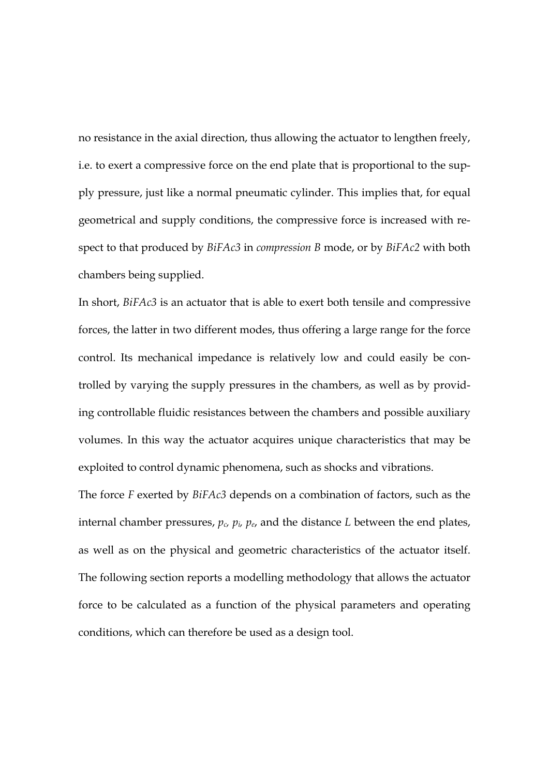no resistance in the axial direction, thus allowing the actuator to lengthen freely, i.e. to exert a compressive force on the end plate that is proportional to the supply pressure, just like a normal pneumatic cylinder. This implies that, for equal geometrical and supply conditions, the compressive force is increased with respect to that produced by *BiFAc3* in *compression B* mode, or by *BiFAc2* with both chambers being supplied.

In short, *BiFAc3* is an actuator that is able to exert both tensile and compressive forces, the latter in two different modes, thus offering a large range for the force control. Its mechanical impedance is relatively low and could easily be controlled by varying the supply pressures in the chambers, as well as by providing controllable fluidic resistances between the chambers and possible auxiliary volumes. In this way the actuator acquires unique characteristics that may be exploited to control dynamic phenomena, such as shocks and vibrations.

The force *F* exerted by *BiFAc3* depends on a combination of factors, such as the internal chamber pressures, *pc, pi, pe*, and the distance *L* between the end plates, as well as on the physical and geometric characteristics of the actuator itself. The following section reports a modelling methodology that allows the actuator force to be calculated as a function of the physical parameters and operating conditions, which can therefore be used as a design tool.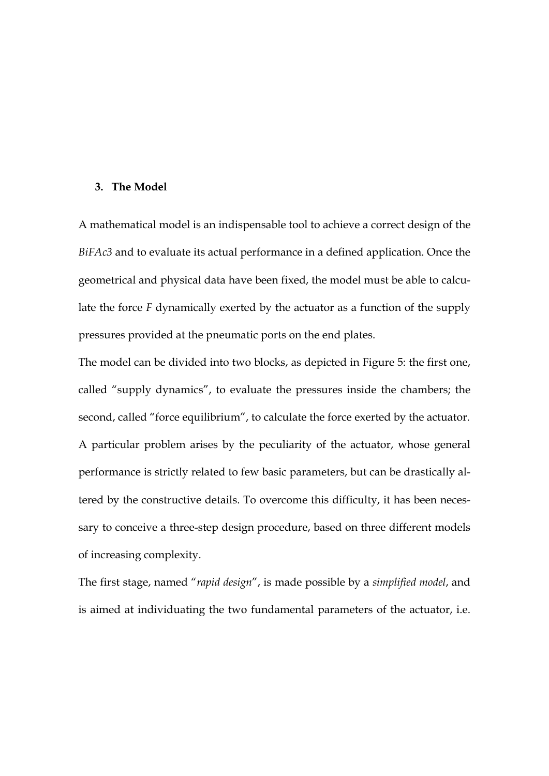#### **3. The Model**

A mathematical model is an indispensable tool to achieve a correct design of the *BiFAc3* and to evaluate its actual performance in a defined application. Once the geometrical and physical data have been fixed, the model must be able to calculate the force *F* dynamically exerted by the actuator as a function of the supply pressures provided at the pneumatic ports on the end plates.

The model can be divided into two blocks, as depicted in Figure 5: the first one, called "supply dynamics", to evaluate the pressures inside the chambers; the second, called "force equilibrium", to calculate the force exerted by the actuator. A particular problem arises by the peculiarity of the actuator, whose general performance is strictly related to few basic parameters, but can be drastically altered by the constructive details. To overcome this difficulty, it has been necessary to conceive a three-step design procedure, based on three different models of increasing complexity.

The first stage, named "*rapid design*", is made possible by a *simplified model*, and is aimed at individuating the two fundamental parameters of the actuator, i.e.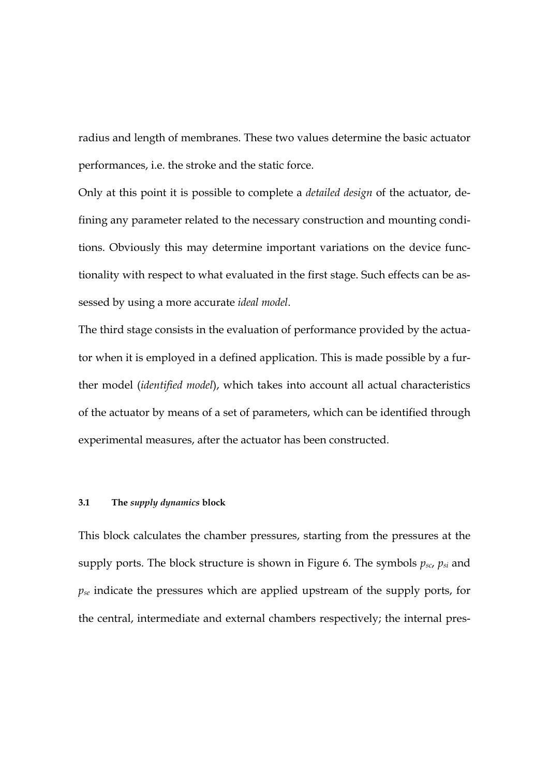radius and length of membranes. These two values determine the basic actuator performances, i.e. the stroke and the static force.

Only at this point it is possible to complete a *detailed design* of the actuator, defining any parameter related to the necessary construction and mounting conditions. Obviously this may determine important variations on the device functionality with respect to what evaluated in the first stage. Such effects can be assessed by using a more accurate *ideal model*.

The third stage consists in the evaluation of performance provided by the actuator when it is employed in a defined application. This is made possible by a further model (*identified model*), which takes into account all actual characteristics of the actuator by means of a set of parameters, which can be identified through experimental measures, after the actuator has been constructed.

#### **3.1 The** *supply dynamics* **block**

This block calculates the chamber pressures, starting from the pressures at the supply ports. The block structure is shown in Figure 6. The symbols *psc*, *psi* and *pse* indicate the pressures which are applied upstream of the supply ports, for the central, intermediate and external chambers respectively; the internal pres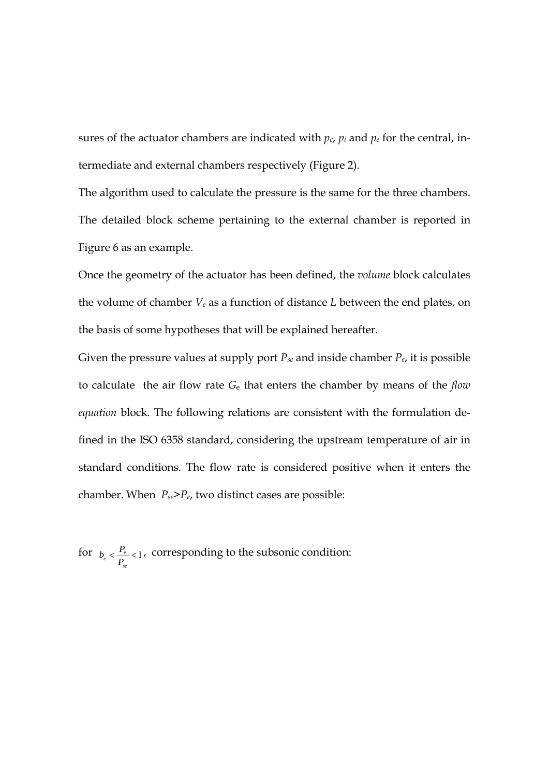sures of the actuator chambers are indicated with  $p_c$ ,  $p_i$  and  $p_e$  for the central, intermediate and external chambers respectively (Figure 2).

The algorithm used to calculate the pressure is the same for the three chambers. The detailed block scheme pertaining to the external chamber is reported in Figure 6 as an example.

Once the geometry of the actuator has been defined, the *volume* block calculates the volume of chamber *Ve* as a function of distance *L* between the end plates, on the basis of some hypotheses that will be explained hereafter.

Given the pressure values at supply port  $P_{se}$  and inside chamber  $P_{e}$ , it is possible to calculate the air flow rate *G*e that enters the chamber by means of the *flow equation* block. The following relations are consistent with the formulation defined in the ISO 6358 standard, considering the upstream temperature of air in standard conditions. The flow rate is considered positive when it enters the chamber. When *Pse*>*Pe*, two distinct cases are possible:

for  $b_e < \frac{P_e}{R} < 1$ *se*  $b_e < \frac{P_e}{P_{v_e}} < 1$ , corresponding to the subsonic condition: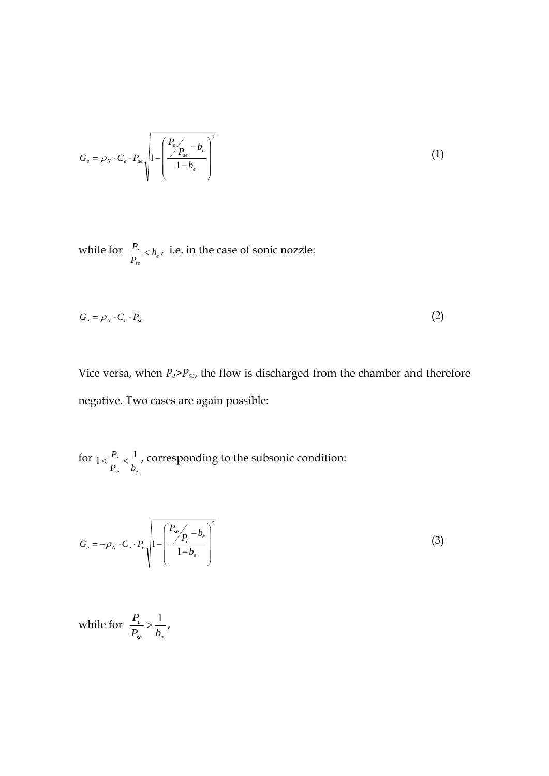$$
G_e = \rho_N \cdot C_e \cdot P_{se} \sqrt{1 - \left(\frac{P_e}{1 - b_e}\right)^2}
$$
 (1)

while for  $\frac{P_e}{P} < b_e$ *se*  $\frac{e}{c}$  < *b P*  $\frac{P_e}{P}$   $\lt b_e$ , i.e. in the case of sonic nozzle:

$$
G_e = \rho_N \cdot C_e \cdot P_{se} \tag{2}
$$

Vice versa, when *Pe*>*Pse*, the flow is discharged from the chamber and therefore negative. Two cases are again possible:

for *se e e*  $P_{\rm se}$  *b*  $p_{\text{max}} \leq \frac{P_e}{P} \leq \frac{1}{P}$ , corresponding to the subsonic condition:

$$
G_e = -\rho_N \cdot C_e \cdot P_e \sqrt{1 - \left(\frac{P_{se}}{1 - b_e}\right)^2}
$$
 (3)

while for *se e e*  $P_{\rm se}$  *b*  $\frac{P_e}{P} > \frac{1}{I}$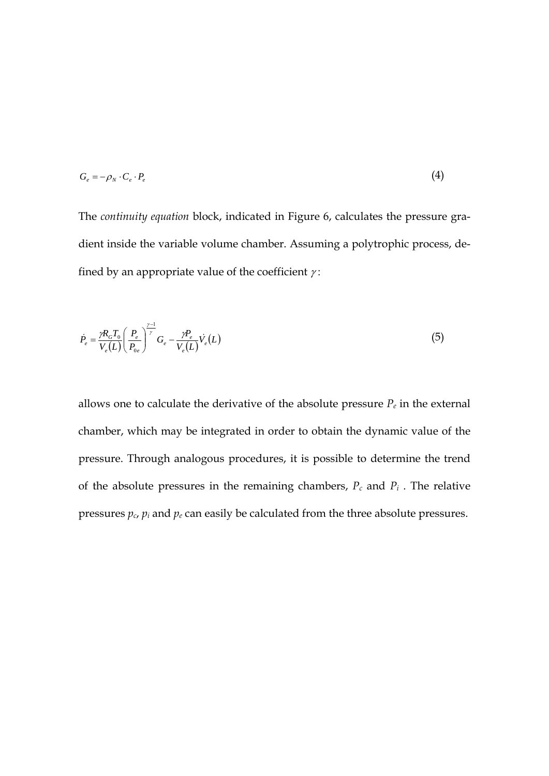$$
G_e = -\rho_N \cdot C_e \cdot P_e \tag{4}
$$

The *continuity equation* block, indicated in Figure 6, calculates the pressure gradient inside the variable volume chamber. Assuming a polytrophic process, defined by an appropriate value of the coefficient  $\gamma$ :

$$
\dot{P}_e = \frac{\gamma R_G T_0}{V_e(L)} \left(\frac{P_e}{P_{0e}}\right)^{\frac{\gamma-1}{\gamma}} G_e - \frac{\gamma P_e}{V_e(L)} \dot{V}_e(L)
$$
\n
$$
\tag{5}
$$

allows one to calculate the derivative of the absolute pressure  $P_e$  in the external chamber, which may be integrated in order to obtain the dynamic value of the pressure. Through analogous procedures, it is possible to determine the trend of the absolute pressures in the remaining chambers, *Pc* and *Pi* . The relative pressures  $p_c$ ,  $p_i$  and  $p_e$  can easily be calculated from the three absolute pressures.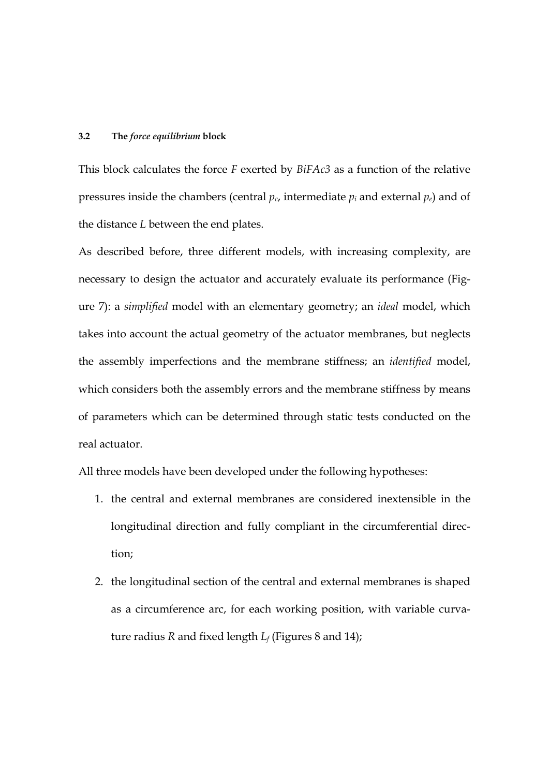#### **3.2 The** *force equilibrium* **block**

This block calculates the force *F* exerted by *BiFAc3* as a function of the relative pressures inside the chambers (central  $p_c$ , intermediate  $p_i$  and external  $p_e$ ) and of the distance *L* between the end plates.

As described before, three different models, with increasing complexity, are necessary to design the actuator and accurately evaluate its performance (Figure 7): a *simplified* model with an elementary geometry; an *ideal* model, which takes into account the actual geometry of the actuator membranes, but neglects the assembly imperfections and the membrane stiffness; an *identified* model, which considers both the assembly errors and the membrane stiffness by means of parameters which can be determined through static tests conducted on the real actuator.

All three models have been developed under the following hypotheses:

- 1. the central and external membranes are considered inextensible in the longitudinal direction and fully compliant in the circumferential direction;
- 2. the longitudinal section of the central and external membranes is shaped as a circumference arc, for each working position, with variable curvature radius *R* and fixed length *Lf* (Figures 8 and 14);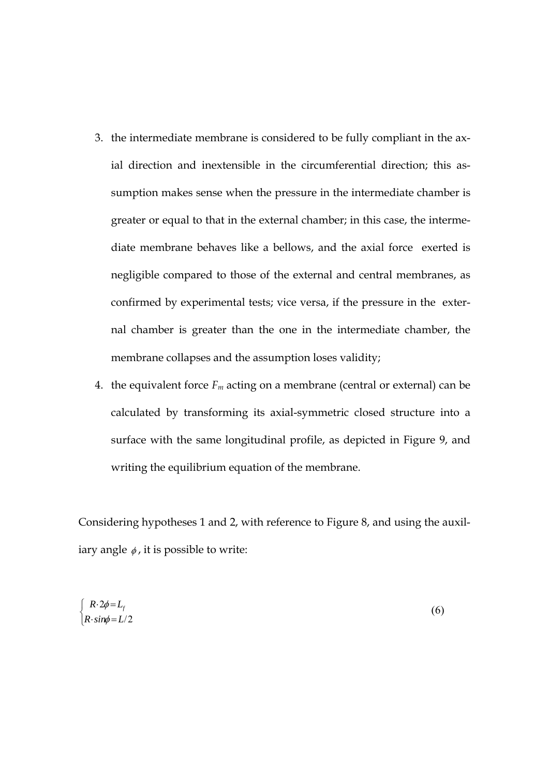- 3. the intermediate membrane is considered to be fully compliant in the axial direction and inextensible in the circumferential direction; this assumption makes sense when the pressure in the intermediate chamber is greater or equal to that in the external chamber; in this case, the intermediate membrane behaves like a bellows, and the axial force exerted is negligible compared to those of the external and central membranes, as confirmed by experimental tests; vice versa, if the pressure in the external chamber is greater than the one in the intermediate chamber, the membrane collapses and the assumption loses validity;
- 4. the equivalent force  $F_m$  acting on a membrane (central or external) can be calculated by transforming its axial-symmetric closed structure into a surface with the same longitudinal profile, as depicted in Figure 9, and writing the equilibrium equation of the membrane.

Considering hypotheses 1 and 2, with reference to Figure 8, and using the auxiliary angle  $\phi$ , it is possible to write:

$$
\begin{cases}\nR \cdot 2\phi = L_f \\
R \cdot \sin\phi = L/2\n\end{cases}
$$
\n(6)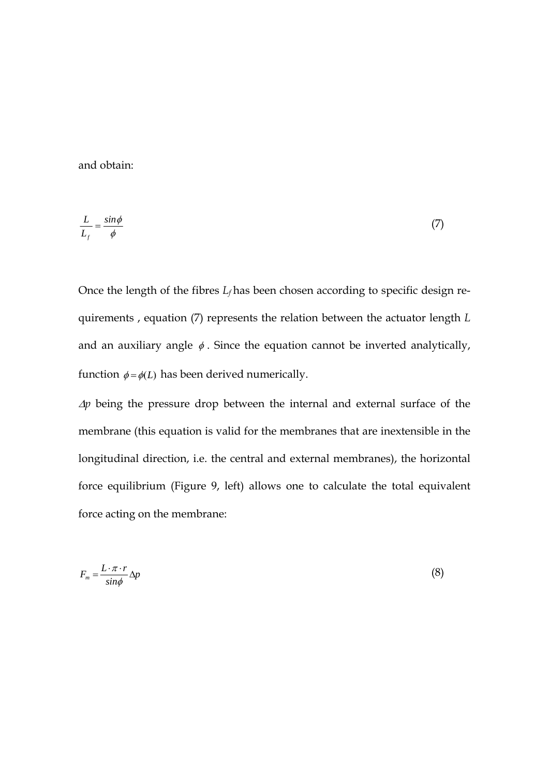and obtain:

$$
\frac{L}{L_f} = \frac{\sin \phi}{\phi} \tag{7}
$$

Once the length of the fibres  $L_f$  has been chosen according to specific design requirements , equation (7) represents the relation between the actuator length *L* and an auxiliary angle  $\phi$ . Since the equation cannot be inverted analytically, function  $\phi = \phi(L)$  has been derived numerically.

*Ap* being the pressure drop between the internal and external surface of the membrane (this equation is valid for the membranes that are inextensible in the longitudinal direction, i.e. the central and external membranes), the horizontal force equilibrium (Figure 9, left) allows one to calculate the total equivalent force acting on the membrane:

$$
F_m = \frac{L \cdot \pi \cdot r}{\sin \phi} \Delta p \tag{8}
$$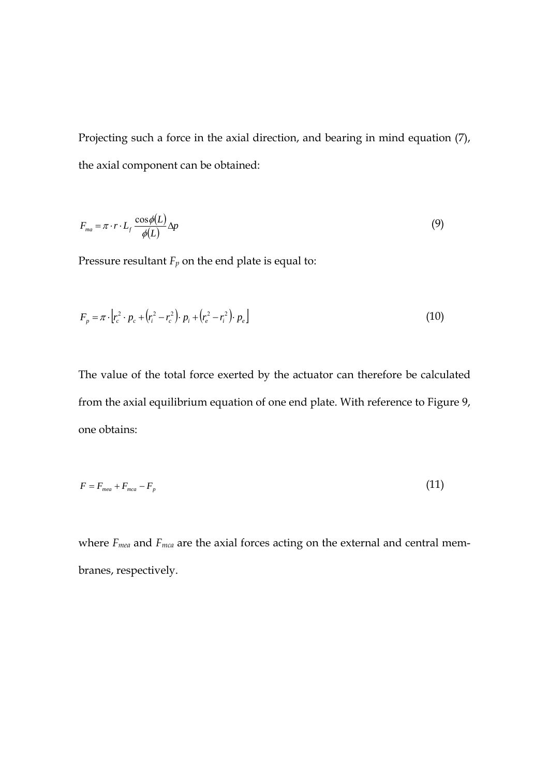Projecting such a force in the axial direction, and bearing in mind equation (7), the axial component can be obtained:

$$
F_{ma} = \pi \cdot r \cdot L_f \frac{\cos \phi(L)}{\phi(L)} \Delta p \tag{9}
$$

Pressure resultant  $F_p$  on the end plate is equal to:

$$
F_p = \pi \cdot \left[ r_c^2 \cdot p_c + \left( r_i^2 - r_c^2 \right) \cdot p_i + \left( r_e^2 - r_i^2 \right) \cdot p_e \right] \tag{10}
$$

The value of the total force exerted by the actuator can therefore be calculated from the axial equilibrium equation of one end plate. With reference to Figure 9, one obtains:

$$
F = F_{\text{mea}} + F_{\text{mea}} - F_p \tag{11}
$$

where *Fmea* and *Fmca* are the axial forces acting on the external and central membranes, respectively.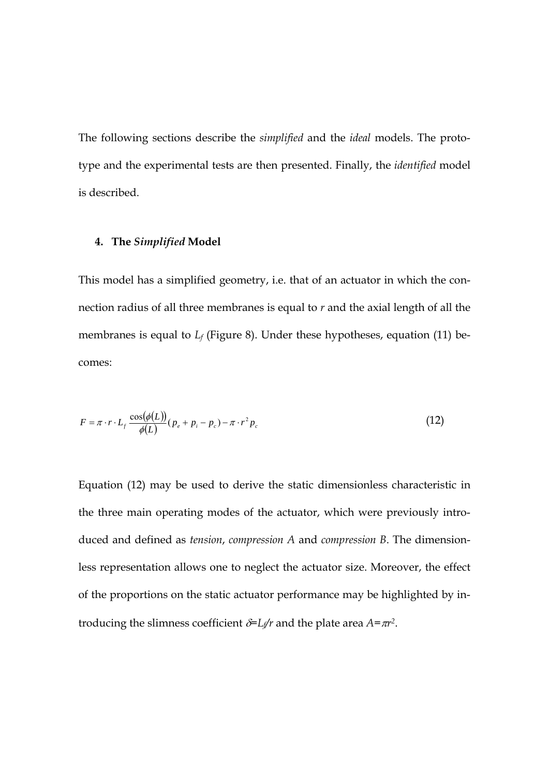The following sections describe the *simplified* and the *ideal* models. The prototype and the experimental tests are then presented. Finally, the *identified* model is described.

### **4. The** *Simplified* **Model**

This model has a simplified geometry, i.e. that of an actuator in which the connection radius of all three membranes is equal to *r* and the axial length of all the membranes is equal to *L<sub>f</sub>* (Figure 8). Under these hypotheses, equation (11) becomes:

$$
F = \pi \cdot r \cdot L_f \frac{\cos(\phi(L))}{\phi(L)} (p_e + p_i - p_c) - \pi \cdot r^2 p_c \tag{12}
$$

Equation (12) may be used to derive the static dimensionless characteristic in the three main operating modes of the actuator, which were previously introduced and defined as *tension*, *compression A* and *compression B*. The dimensionless representation allows one to neglect the actuator size. Moreover, the effect of the proportions on the static actuator performance may be highlighted by introducing the slimness coefficient  $\delta = L_f/r$  and the plate area  $A = \pi r^2$ .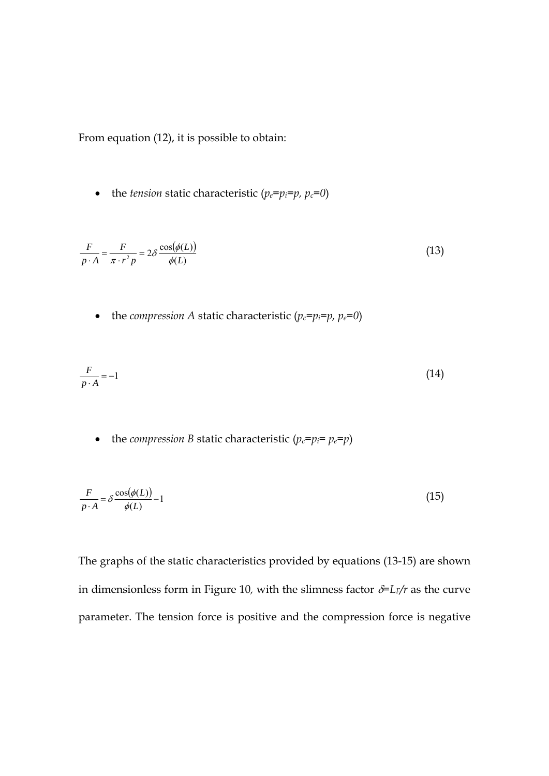From equation (12), it is possible to obtain:

• the *tension* static characteristic  $(p_e=p_i=p, p_c=0)$ 

$$
\frac{F}{p \cdot A} = \frac{F}{\pi \cdot r^2 p} = 2\delta \frac{\cos(\phi(L))}{\phi(L)}
$$
(13)

• the *compression* A static characteristic  $(p_c=p_i=p, p_e=0)$ 

$$
\frac{F}{p \cdot A} = -1\tag{14}
$$

• the *compression B* static characteristic  $(p_c = p_i = p_e = p)$ 

$$
\frac{F}{p \cdot A} = \delta \frac{\cos(\phi(L))}{\phi(L)} - 1 \tag{15}
$$

The graphs of the static characteristics provided by equations (13-15) are shown in dimensionless form in Figure 10, with the slimness factor  $\delta = L_F/r$  as the curve parameter. The tension force is positive and the compression force is negative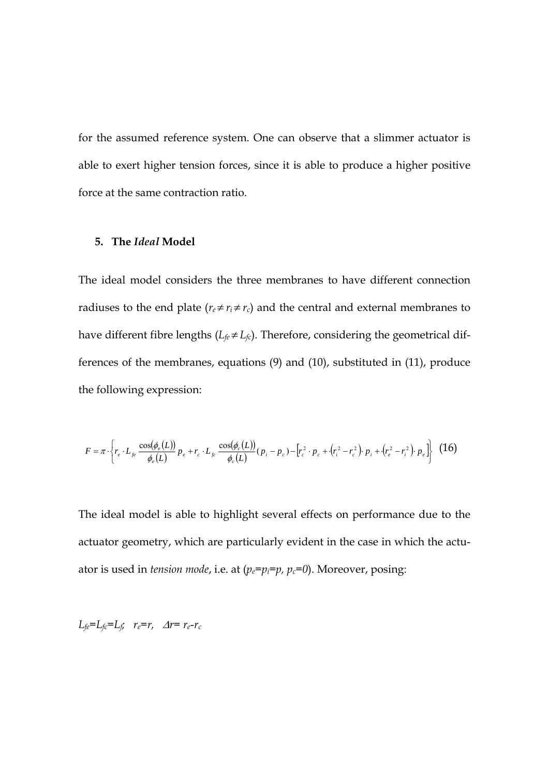for the assumed reference system. One can observe that a slimmer actuator is able to exert higher tension forces, since it is able to produce a higher positive force at the same contraction ratio.

### **5. The** *Ideal* **Model**

The ideal model considers the three membranes to have different connection radiuses to the end plate ( $r_e \neq r_i \neq r_c$ ) and the central and external membranes to have different fibre lengths  $(L_f \neq L_f)$ . Therefore, considering the geometrical differences of the membranes, equations (9) and (10), substituted in (11), produce the following expression:

$$
F = \pi \cdot \left\{ r_e \cdot L_{fe} \frac{\cos(\phi_e(L))}{\phi_e(L)} p_e + r_c \cdot L_{fe} \frac{\cos(\phi_e(L))}{\phi_e(L)} (p_i - p_c) - \left[ r_c^2 \cdot p_c + (r_i^2 - r_c^2) \cdot p_i + (r_e^2 - r_i^2) \cdot p_e \right] \right\}
$$
 (16)

The ideal model is able to highlight several effects on performance due to the actuator geometry, which are particularly evident in the case in which the actuator is used in *tension mode*, i.e. at (*pe=pi=p, pc=0*). Moreover, posing:

 $L_{fe} = L_{fc} = L_f$ ;  $r_e = r$ ,  $\Delta r = r_e - r_c$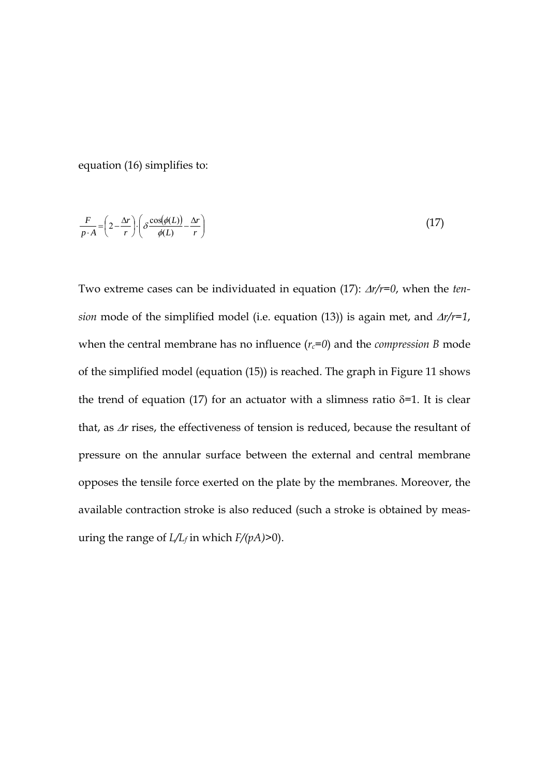equation (16) simplifies to:

$$
\frac{F}{p \cdot A} = \left(2 - \frac{\Delta r}{r}\right) \cdot \left(\delta \frac{\cos(\phi(L))}{\phi(L)} - \frac{\Delta r}{r}\right) \tag{17}
$$

Two extreme cases can be individuated in equation  $(17)$ :  $\Delta r/r=0$ , when the *tension* mode of the simplified model (i.e. equation (13)) is again met, and  $\Delta r/r=1$ , when the central membrane has no influence  $(r_c=0)$  and the *compression* B mode of the simplified model (equation (15)) is reached. The graph in Figure 11 shows the trend of equation (17) for an actuator with a slimness ratio  $\delta$ =1. It is clear that, as  $\Delta r$  rises, the effectiveness of tension is reduced, because the resultant of pressure on the annular surface between the external and central membrane opposes the tensile force exerted on the plate by the membranes. Moreover, the available contraction stroke is also reduced (such a stroke is obtained by measuring the range of  $L/L_f$  in which  $F/(pA)$ >0).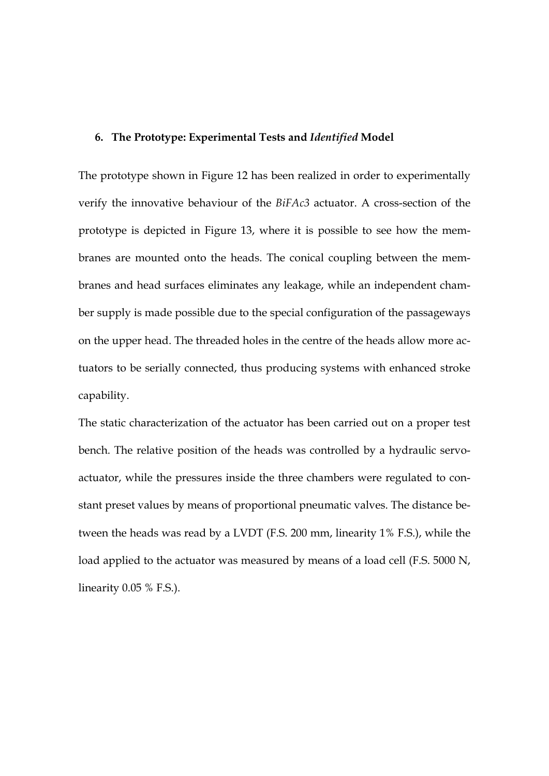### **6. The Prototype: Experimental Tests and** *Identified* **Model**

The prototype shown in Figure 12 has been realized in order to experimentally verify the innovative behaviour of the *BiFAc3* actuator. A cross-section of the prototype is depicted in Figure 13, where it is possible to see how the membranes are mounted onto the heads. The conical coupling between the membranes and head surfaces eliminates any leakage, while an independent chamber supply is made possible due to the special configuration of the passageways on the upper head. The threaded holes in the centre of the heads allow more actuators to be serially connected, thus producing systems with enhanced stroke capability.

The static characterization of the actuator has been carried out on a proper test bench. The relative position of the heads was controlled by a hydraulic servoactuator, while the pressures inside the three chambers were regulated to constant preset values by means of proportional pneumatic valves. The distance between the heads was read by a LVDT (F.S. 200 mm, linearity 1% F.S.), while the load applied to the actuator was measured by means of a load cell (F.S. 5000 N, linearity 0.05 % F.S.).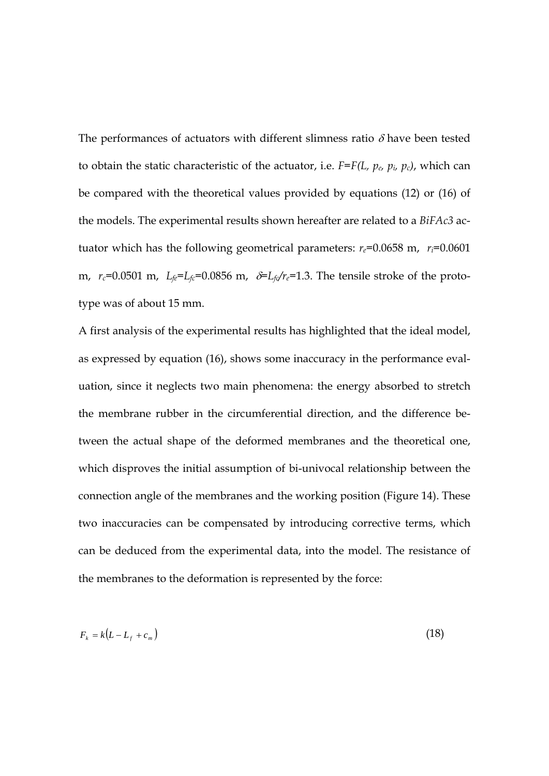The performances of actuators with different slimness ratio  $\delta$  have been tested to obtain the static characteristic of the actuator, i.e. *F=F(L, pe, pi, pc)*, which can be compared with the theoretical values provided by equations (12) or (16) of the models. The experimental results shown hereafter are related to a *BiFAc3* actuator which has the following geometrical parameters:  $r_e$ =0.0658 m,  $r_i$ =0.0601 m,  $r_c$ =0.0501 m,  $L_f e = L_f c = 0.0856$  m,  $\delta = L_f c/r_e = 1.3$ . The tensile stroke of the prototype was of about 15 mm.

A first analysis of the experimental results has highlighted that the ideal model, as expressed by equation (16), shows some inaccuracy in the performance evaluation, since it neglects two main phenomena: the energy absorbed to stretch the membrane rubber in the circumferential direction, and the difference between the actual shape of the deformed membranes and the theoretical one, which disproves the initial assumption of bi-univocal relationship between the connection angle of the membranes and the working position (Figure 14). These two inaccuracies can be compensated by introducing corrective terms, which can be deduced from the experimental data, into the model. The resistance of the membranes to the deformation is represented by the force:

$$
F_k = k(L - L_f + c_m) \tag{18}
$$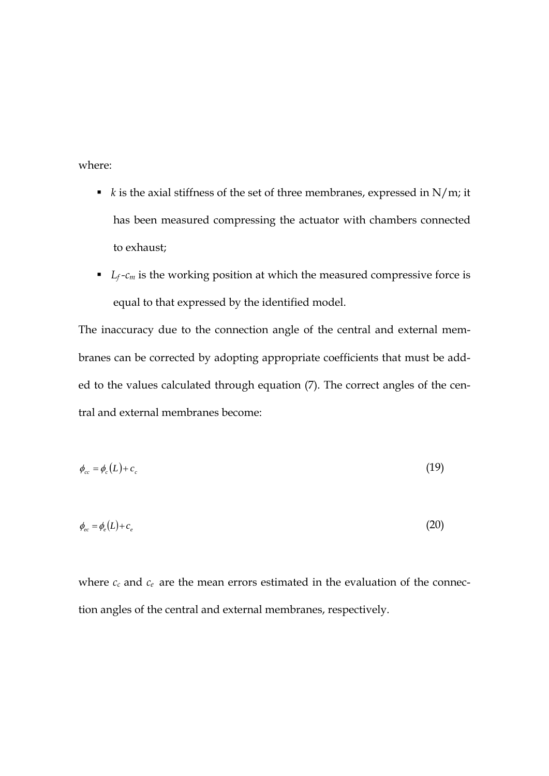where:

- $\bullet$  *k* is the axial stiffness of the set of three membranes, expressed in N/m; it has been measured compressing the actuator with chambers connected to exhaust;
- $L_f$ - $c_m$  is the working position at which the measured compressive force is equal to that expressed by the identified model.

The inaccuracy due to the connection angle of the central and external membranes can be corrected by adopting appropriate coefficients that must be added to the values calculated through equation (7). The correct angles of the central and external membranes become:

$$
\phi_{cc} = \phi_c(L) + c_c \tag{19}
$$

$$
\phi_{ec} = \phi_e(L) + c_e \tag{20}
$$

where  $c_c$  and  $c_e$  are the mean errors estimated in the evaluation of the connection angles of the central and external membranes, respectively.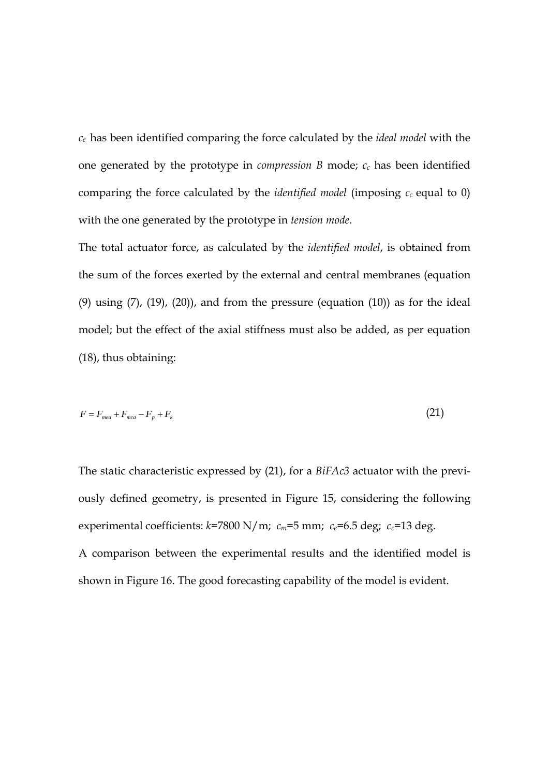*ce* has been identified comparing the force calculated by the *ideal model* with the one generated by the prototype in *compression*  $B$  mode;  $c_c$  has been identified comparing the force calculated by the *identified model* (imposing  $c_c$  equal to 0) with the one generated by the prototype in *tension mode*.

The total actuator force, as calculated by the *identified model*, is obtained from the sum of the forces exerted by the external and central membranes (equation (9) using  $(7)$ ,  $(19)$ ,  $(20)$ ), and from the pressure (equation  $(10)$ ) as for the ideal model; but the effect of the axial stiffness must also be added, as per equation (18), thus obtaining:

$$
F = F_{\text{mea}} + F_{\text{mea}} - F_p + F_k \tag{21}
$$

The static characteristic expressed by (21), for a *BiFAc3* actuator with the previously defined geometry, is presented in Figure 15, considering the following experimental coefficients:  $k=7800 \text{ N/m}$ ;  $c_m=5 \text{ mm}$ ;  $c_e=6.5 \text{ deg}$ ;  $c_c=13 \text{ deg}$ . A comparison between the experimental results and the identified model is shown in Figure 16. The good forecasting capability of the model is evident.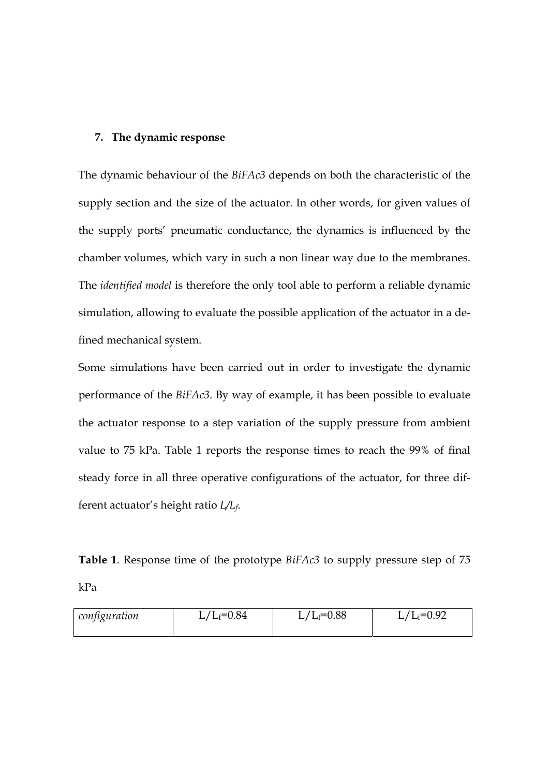#### **7. The dynamic response**

The dynamic behaviour of the *BiFAc3* depends on both the characteristic of the supply section and the size of the actuator. In other words, for given values of the supply ports' pneumatic conductance, the dynamics is influenced by the chamber volumes, which vary in such a non linear way due to the membranes. The *identified model* is therefore the only tool able to perform a reliable dynamic simulation, allowing to evaluate the possible application of the actuator in a defined mechanical system.

Some simulations have been carried out in order to investigate the dynamic performance of the *BiFAc3*. By way of example, it has been possible to evaluate the actuator response to a step variation of the supply pressure from ambient value to 75 kPa. Table 1 reports the response times to reach the 99% of final steady force in all three operative configurations of the actuator, for three different actuator's height ratio *L/Lf*.

**Table 1**. Response time of the prototype *BiFAc3* to supply pressure step of 75

kPa

| configuration | $L/L_f = 0.84$ | $L/L_f = 0.88$ | $L/L_f=0.92$ |
|---------------|----------------|----------------|--------------|
|               |                |                |              |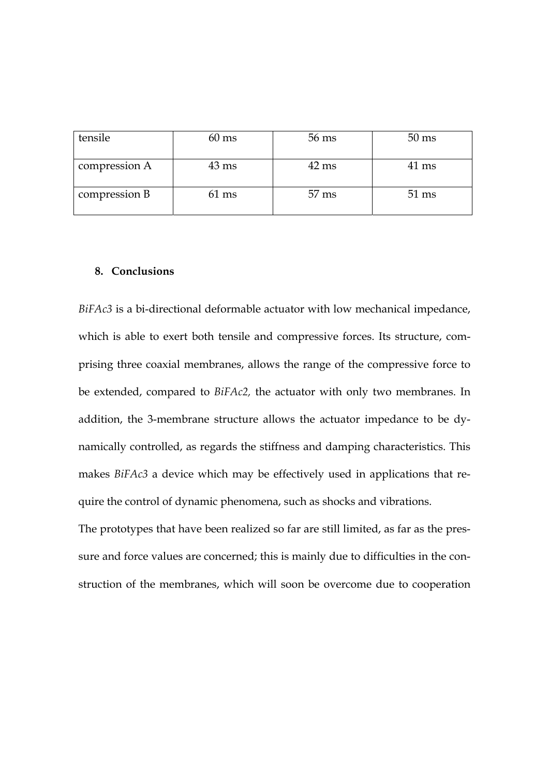| tensile       | $60 \text{ ms}$ | 56 ms           | $50 \text{ ms}$ |
|---------------|-----------------|-----------------|-----------------|
| compression A | $43 \text{ ms}$ | $42 \text{ ms}$ | $41 \text{ ms}$ |
| compression B | $61 \text{ ms}$ | $57 \text{ ms}$ | $51 \text{ ms}$ |

#### **8. Conclusions**

*BiFAc3* is a bi-directional deformable actuator with low mechanical impedance, which is able to exert both tensile and compressive forces. Its structure, comprising three coaxial membranes, allows the range of the compressive force to be extended, compared to *BiFAc2,* the actuator with only two membranes. In addition, the 3-membrane structure allows the actuator impedance to be dynamically controlled, as regards the stiffness and damping characteristics. This makes *BiFAc3* a device which may be effectively used in applications that require the control of dynamic phenomena, such as shocks and vibrations.

The prototypes that have been realized so far are still limited, as far as the pressure and force values are concerned; this is mainly due to difficulties in the construction of the membranes, which will soon be overcome due to cooperation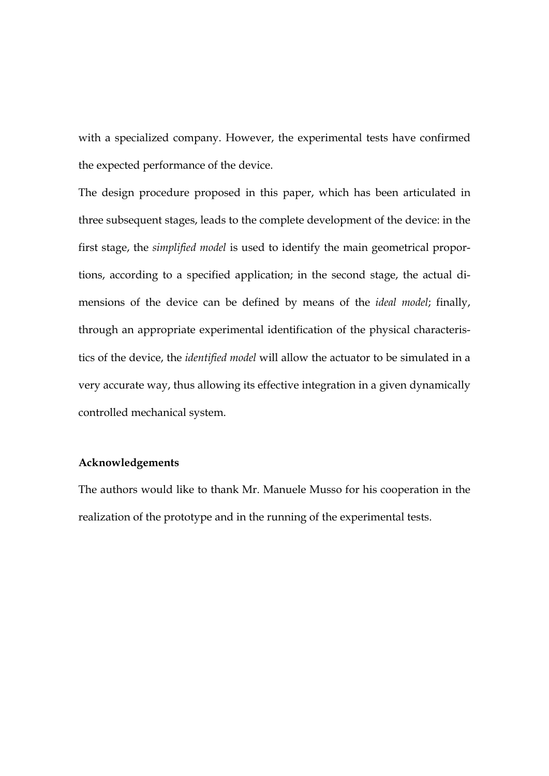with a specialized company. However, the experimental tests have confirmed the expected performance of the device.

The design procedure proposed in this paper, which has been articulated in three subsequent stages, leads to the complete development of the device: in the first stage, the *simplified model* is used to identify the main geometrical proportions, according to a specified application; in the second stage, the actual dimensions of the device can be defined by means of the *ideal model*; finally, through an appropriate experimental identification of the physical characteristics of the device, the *identified model* will allow the actuator to be simulated in a very accurate way, thus allowing its effective integration in a given dynamically controlled mechanical system.

## **Acknowledgements**

The authors would like to thank Mr. Manuele Musso for his cooperation in the realization of the prototype and in the running of the experimental tests.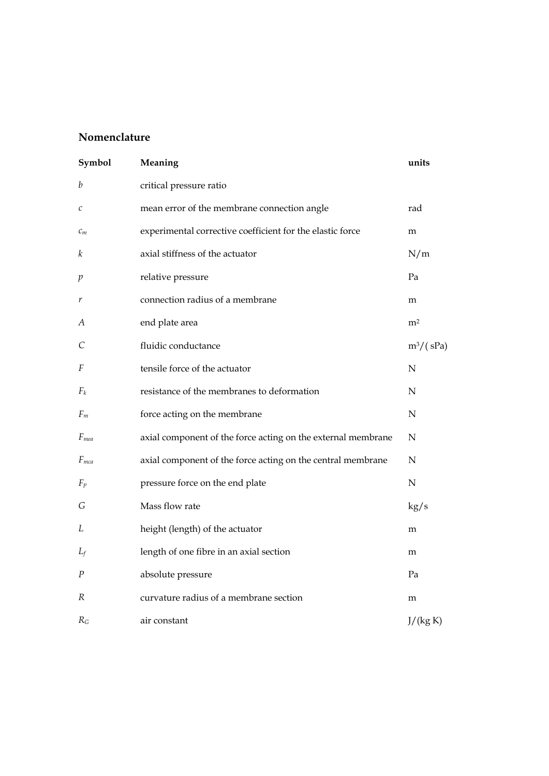# **Nomenclature**

| Symbol           | Meaning                                                      | units          |
|------------------|--------------------------------------------------------------|----------------|
| b                | critical pressure ratio                                      |                |
| $\mathcal C$     | mean error of the membrane connection angle                  | rad            |
| $c_m$            | experimental corrective coefficient for the elastic force    | m              |
| k                | axial stiffness of the actuator                              | N/m            |
| p                | relative pressure                                            | Pa             |
| r                | connection radius of a membrane                              | m              |
| А                | end plate area                                               | m <sup>2</sup> |
| C                | fluidic conductance                                          | $m^3/(sPa)$    |
| F                | tensile force of the actuator                                | N              |
| $F_k$            | resistance of the membranes to deformation                   | N              |
| $F_m$            | force acting on the membrane                                 | $\mathbf N$    |
| F <sub>mea</sub> | axial component of the force acting on the external membrane | $\mathbf N$    |
| $F_{mca}$        | axial component of the force acting on the central membrane  | N              |
| $F_p$            | pressure force on the end plate                              | $\mathbf N$    |
| G                | Mass flow rate                                               | kg/s           |
| L                | height (length) of the actuator                              | m              |
| $L_f$            | length of one fibre in an axial section                      | m              |
| P                | absolute pressure                                            | Pa             |
| R                | curvature radius of a membrane section                       | m              |
| $R_G$            | air constant                                                 | J/(kg K)       |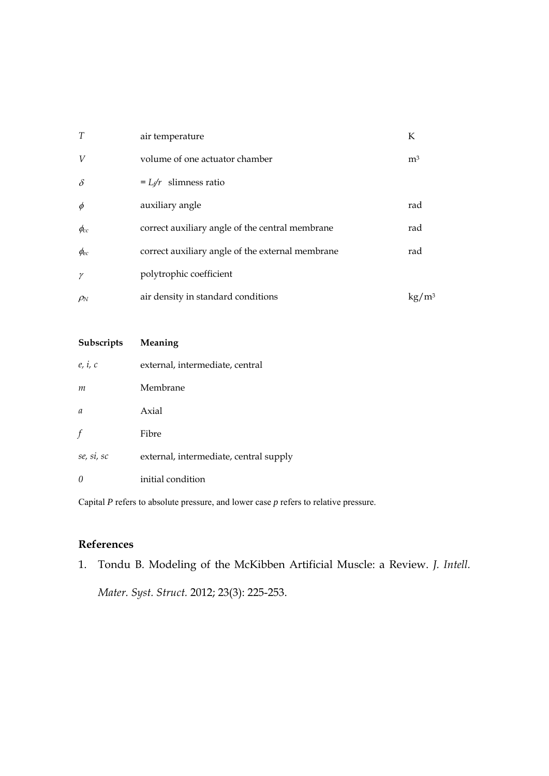| T                 | air temperature                                  | К                          |
|-------------------|--------------------------------------------------|----------------------------|
| V                 | volume of one actuator chamber                   | m <sup>3</sup>             |
| $\delta$          | $=L_f/r$ slimness ratio                          |                            |
| $\phi$            | auxiliary angle                                  | rad                        |
| $\phi_{cc}$       | correct auxiliary angle of the central membrane  | rad                        |
| $\phi_{ec}$       | correct auxiliary angle of the external membrane | rad                        |
| γ                 | polytrophic coefficient                          |                            |
| $\rho_{\text{N}}$ | air density in standard conditions               | $\mathrm{kg}/\mathrm{m}^3$ |

| Subscripts    | Meaning                                |
|---------------|----------------------------------------|
| e, i, c       | external, intermediate, central        |
| m             | Membrane                               |
| $\mathfrak a$ | Axial                                  |
| f             | Fibre                                  |
| se, si, sc    | external, intermediate, central supply |
| $\theta$      | initial condition                      |

Capital *P* refers to absolute pressure, and lower case *p* refers to relative pressure.

## **References**

1. Tondu B. Modeling of the McKibben Artificial Muscle: a Review. *J. Intell. Mater. Syst. Struct.* 2012; 23(3): 225-253.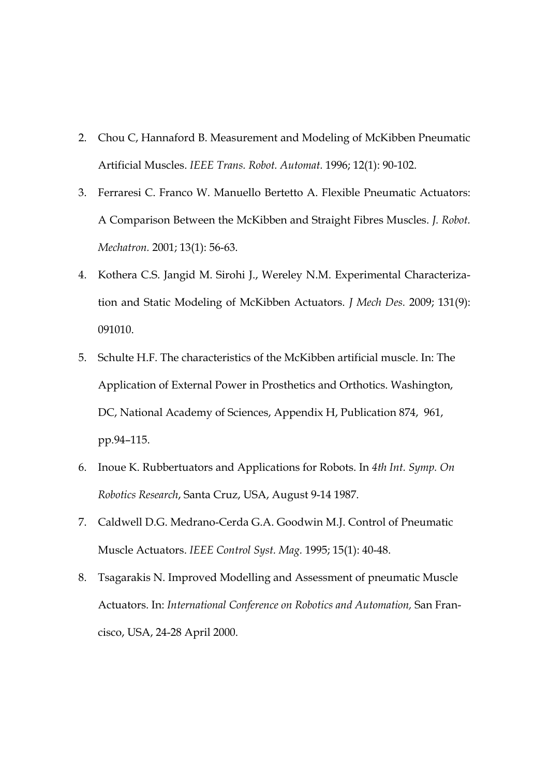- 2. Chou C, Hannaford B. Measurement and Modeling of McKibben Pneumatic Artificial Muscles. *IEEE Trans. Robot. Automat.* 1996; 12(1): 90-102.
- 3. Ferraresi C. Franco W. Manuello Bertetto A. Flexible Pneumatic Actuators: A Comparison Between the McKibben and Straight Fibres Muscles. *J. Robot. Mechatron.* 2001; 13(1): 56-63.
- 4. Kothera C.S. Jangid M. Sirohi J., Wereley N.M. Experimental Characterization and Static Modeling of McKibben Actuators. *J Mech Des.* 2009; 131(9): 091010.
- 5. Schulte H.F. The characteristics of the McKibben artificial muscle. In: The Application of External Power in Prosthetics and Orthotics. Washington, DC, National Academy of Sciences, Appendix H, Publication 874, 961, pp.94–115.
- 6. Inoue K. Rubbertuators and Applications for Robots. In *4th Int. Symp. On Robotics Research*, Santa Cruz, USA, August 9-14 1987.
- 7. Caldwell D.G. Medrano-Cerda G.A. Goodwin M.J. Control of Pneumatic Muscle Actuators. *IEEE Control Syst. Mag.* 1995; 15(1): 40-48.
- 8. Tsagarakis N. Improved Modelling and Assessment of pneumatic Muscle Actuators. In: *International Conference on Robotics and Automation,* San Francisco, USA, 24-28 April 2000.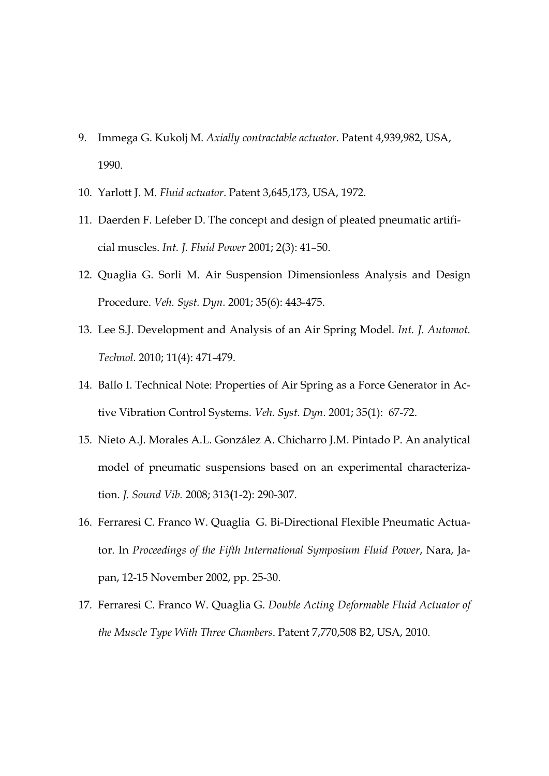- 9. Immega G. Kukolj M. *Axially contractable actuator*. Patent 4,939,982, USA, 1990.
- 10. Yarlott J. M. *Fluid actuator*. Patent 3,645,173, USA, 1972.
- 11. Daerden F. Lefeber D. The concept and design of pleated pneumatic artificial muscles. *Int. J. Fluid Power* 2001; 2(3): 41–50.
- 12. Quaglia G. Sorli M. Air Suspension Dimensionless Analysis and Design Procedure. *Veh. Syst. Dyn.* 2001; 35(6): 443-475.
- 13. Lee S.J. Development and Analysis of an Air Spring Model. *Int. J. Automot. Technol.* 2010; 11(4): 471-479.
- 14. Ballo I. Technical Note: Properties of Air Spring as a Force Generator in Active Vibration Control Systems. *Veh. Syst. Dyn.* 2001; 35(1): 67-72.
- 15. Nieto A.J. Morales A.L. González A. Chicharro J.M. Pintado P. An analytical model of pneumatic suspensions based on an experimental characterization. *J. Sound Vib.* 2008; 313**(**1-2): 290-307.
- 16. Ferraresi C. Franco W. Quaglia G. Bi-Directional Flexible Pneumatic Actuator. In *Proceedings of the Fifth International Symposium Fluid Power*, Nara, Japan, 12-15 November 2002, pp. 25-30.
- 17. Ferraresi C. Franco W. Quaglia G. *Double Acting Deformable Fluid Actuator of the Muscle Type With Three Chambers*. Patent 7,770,508 B2, USA, 2010.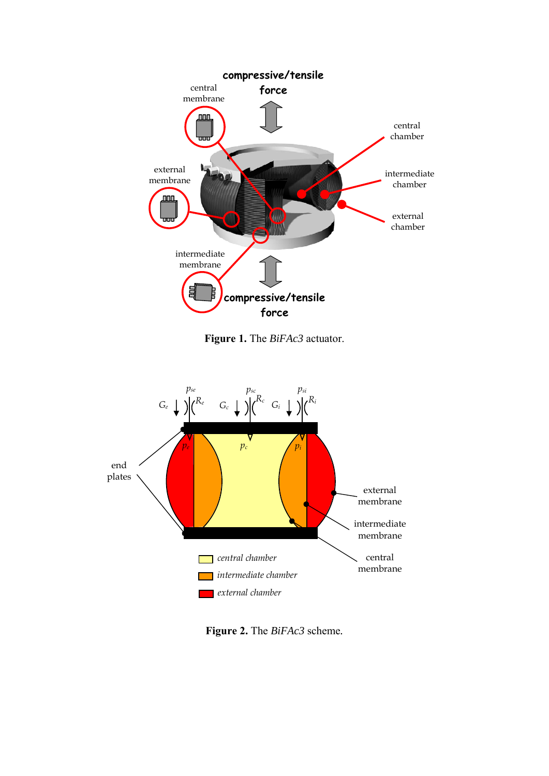

**Figure 1.** The *BiFAc3* actuator.



**Figure 2.** The *BiFAc3* scheme*.*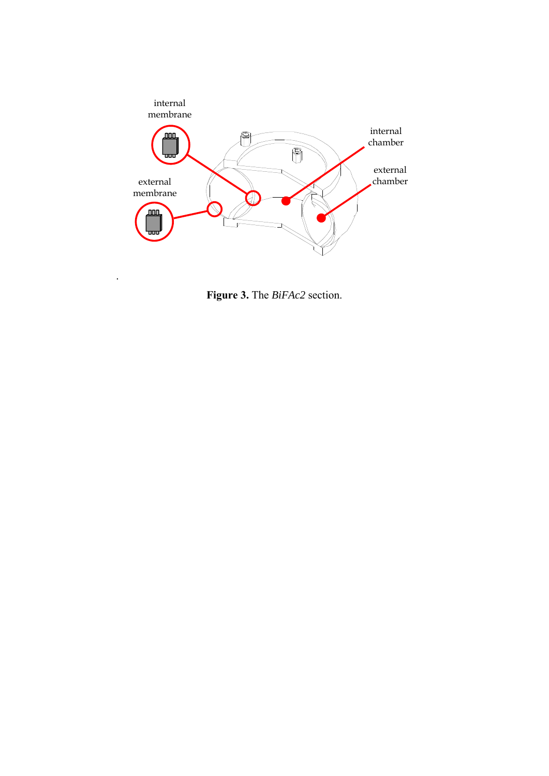

**Figure 3.** The *BiFAc2* section.

.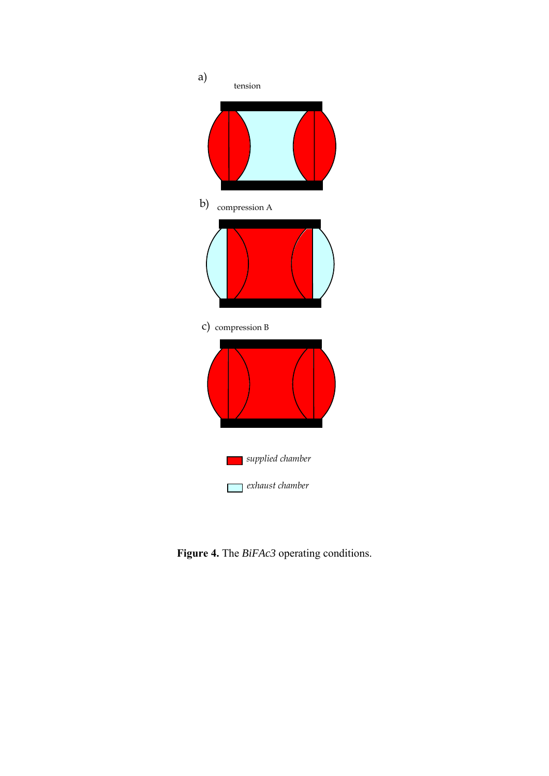

**Figure 4.** The *BiFAc3* operating conditions.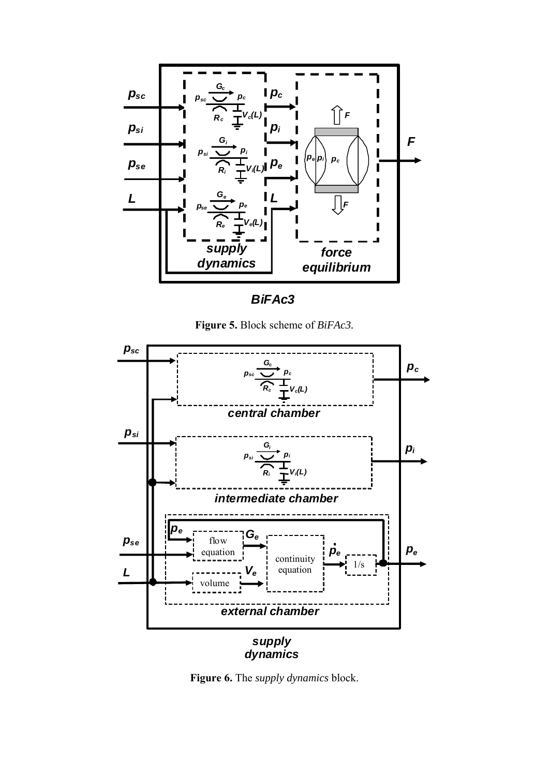

*BiFAc3*

**Figure 5.** Block scheme of *BiFAc3.*



**Figure 6.** The *supply dynamics* block.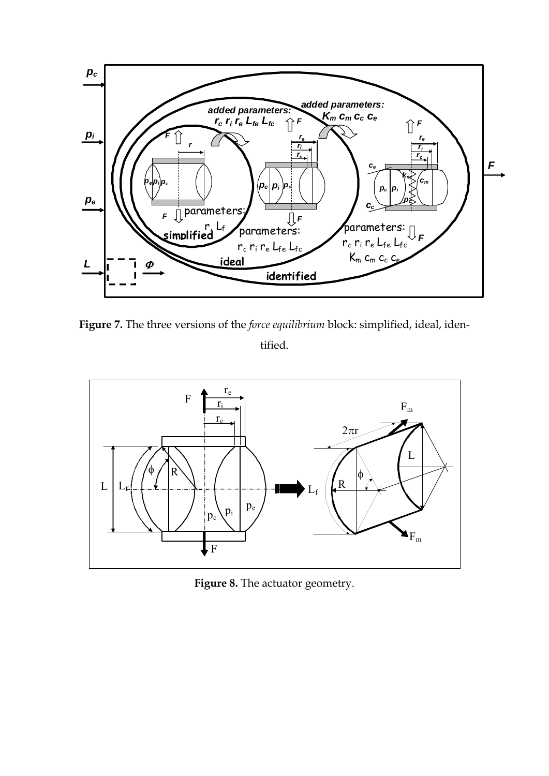

**Figure 7.** The three versions of the *force equilibrium* block: simplified, ideal, identified.



**Figure 8.** The actuator geometry.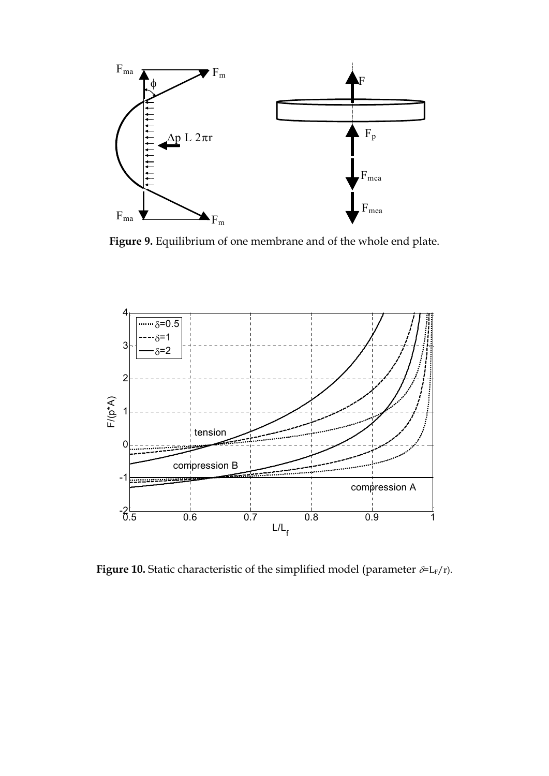

**Figure 9.** Equilibrium of one membrane and of the whole end plate.



**Figure 10.** Static characteristic of the simplified model (parameter  $\delta = L_F/r$ ).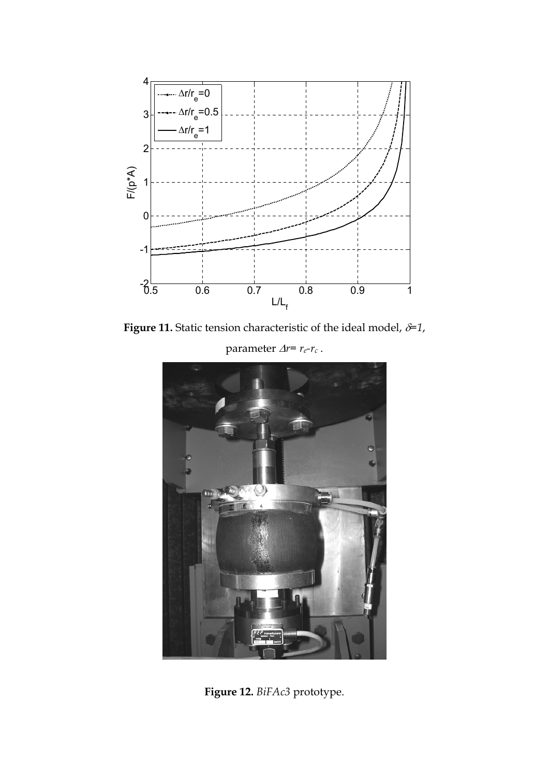

**Figure 11.** Static tension characteristic of the ideal model,  $\delta=1$ ,

parameter  $\Delta r = r_e-r_c$ .



**Figure 12.** *BiFAc3* prototype.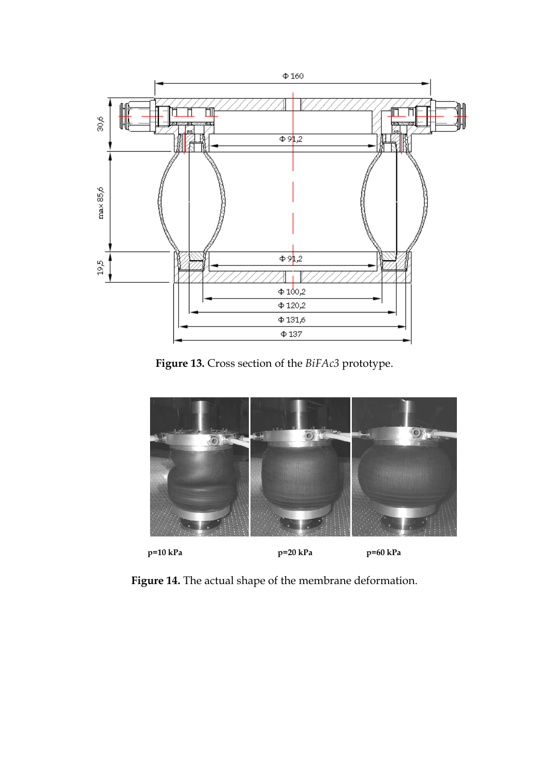

**Figure 13.** Cross section of the *BiFAc3* prototype.



**Figure 14.** The actual shape of the membrane deformation.